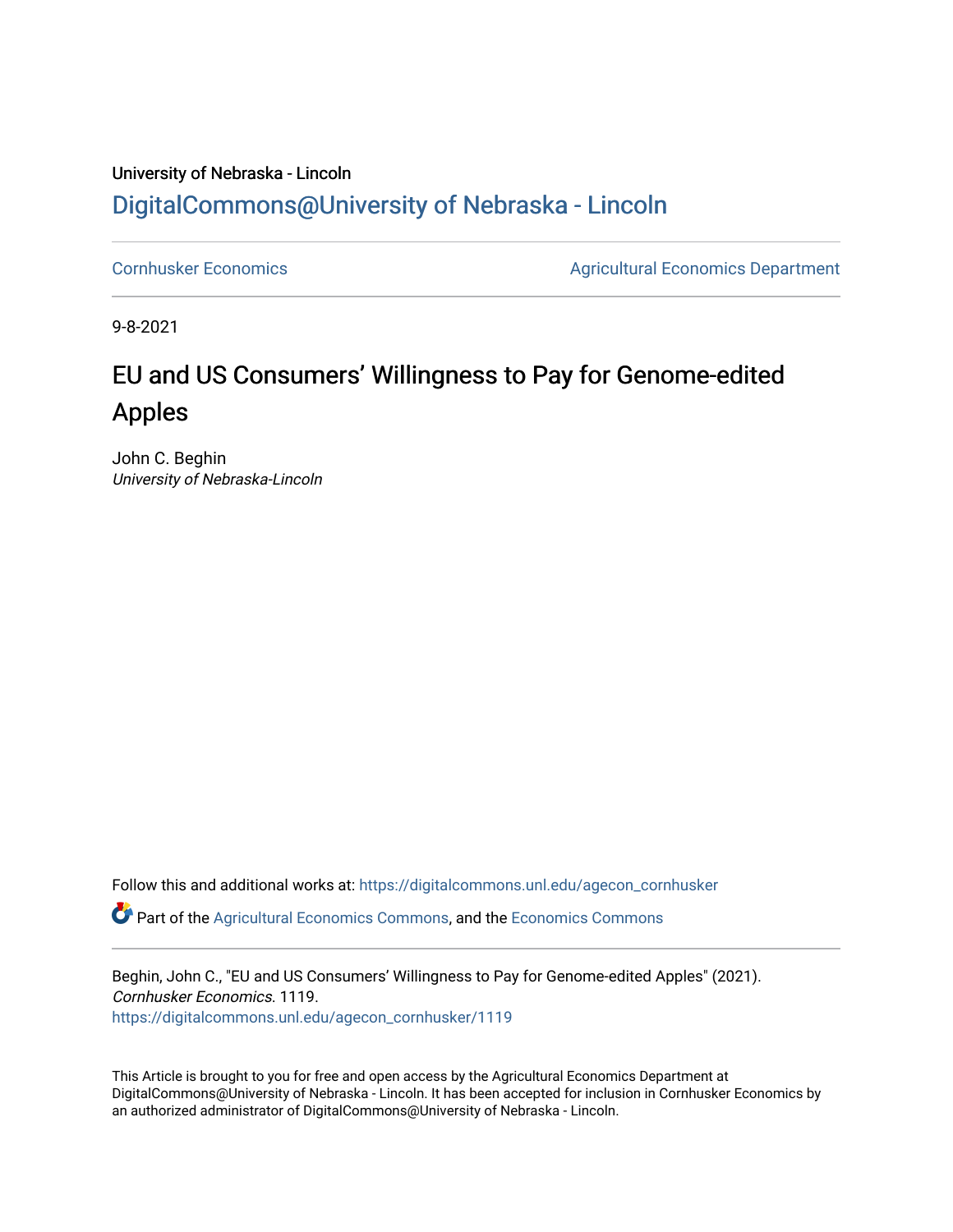## University of Nebraska - Lincoln [DigitalCommons@University of Nebraska - Lincoln](https://digitalcommons.unl.edu/)

[Cornhusker Economics](https://digitalcommons.unl.edu/agecon_cornhusker) **Agricultural Economics** Department

9-8-2021

## EU and US Consumers' Willingness to Pay for Genome-edited Apples

John C. Beghin University of Nebraska-Lincoln

Follow this and additional works at: [https://digitalcommons.unl.edu/agecon\\_cornhusker](https://digitalcommons.unl.edu/agecon_cornhusker?utm_source=digitalcommons.unl.edu%2Fagecon_cornhusker%2F1119&utm_medium=PDF&utm_campaign=PDFCoverPages)  Part of the [Agricultural Economics Commons,](http://network.bepress.com/hgg/discipline/1225?utm_source=digitalcommons.unl.edu%2Fagecon_cornhusker%2F1119&utm_medium=PDF&utm_campaign=PDFCoverPages) and the [Economics Commons](http://network.bepress.com/hgg/discipline/340?utm_source=digitalcommons.unl.edu%2Fagecon_cornhusker%2F1119&utm_medium=PDF&utm_campaign=PDFCoverPages) 

Beghin, John C., "EU and US Consumers' Willingness to Pay for Genome-edited Apples" (2021). Cornhusker Economics. 1119. [https://digitalcommons.unl.edu/agecon\\_cornhusker/1119](https://digitalcommons.unl.edu/agecon_cornhusker/1119?utm_source=digitalcommons.unl.edu%2Fagecon_cornhusker%2F1119&utm_medium=PDF&utm_campaign=PDFCoverPages)

This Article is brought to you for free and open access by the Agricultural Economics Department at DigitalCommons@University of Nebraska - Lincoln. It has been accepted for inclusion in Cornhusker Economics by an authorized administrator of DigitalCommons@University of Nebraska - Lincoln.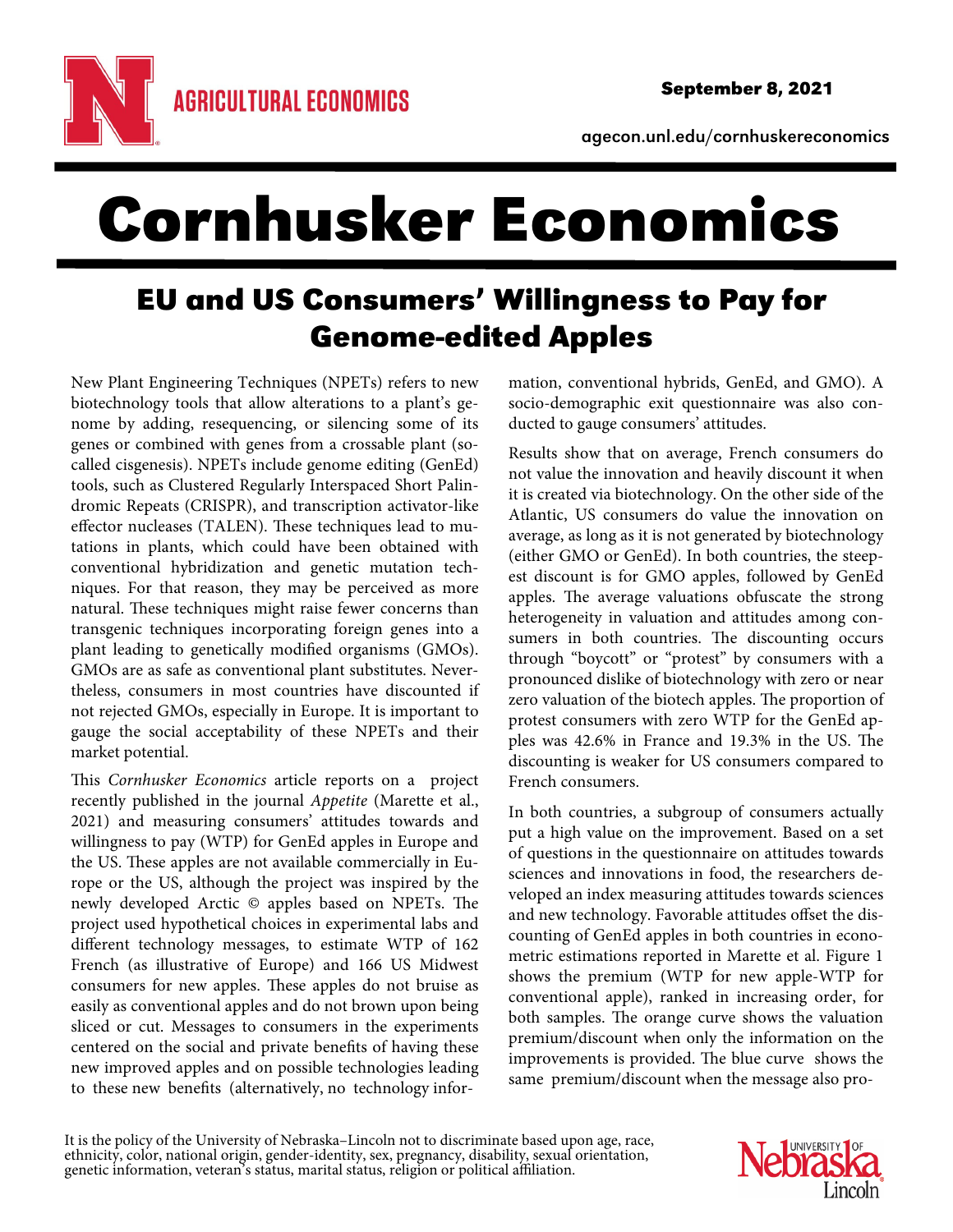agecon.unl.edu/cornhuskereconomics

# Cornhusker Economics

## EU and US Consumers' Willingness to Pay for Genome-edited Apples

New Plant Engineering Techniques (NPETs) refers to new biotechnology tools that allow alterations to a plant's genome by adding, resequencing, or silencing some of its genes or combined with genes from a crossable plant (socalled cisgenesis). NPETs include genome editing (GenEd) tools, such as Clustered Regularly Interspaced Short Palindromic Repeats (CRISPR), and transcription activator-like effector nucleases (TALEN). These techniques lead to mutations in plants, which could have been obtained with conventional hybridization and genetic mutation techniques. For that reason, they may be perceived as more natural. These techniques might raise fewer concerns than transgenic techniques incorporating foreign genes into a plant leading to genetically modified organisms (GMOs). GMOs are as safe as conventional plant substitutes. Nevertheless, consumers in most countries have discounted if not rejected GMOs, especially in Europe. It is important to gauge the social acceptability of these NPETs and their market potential.

This Cornhusker Economics article reports on a project recently published in the journal Appetite (Marette et al., 2021) and measuring consumers' attitudes towards and willingness to pay (WTP) for GenEd apples in Europe and the US. These apples are not available commercially in Europe or the US, although the project was inspired by the newly developed Arctic © apples based on NPETs. The project used hypothetical choices in experimental labs and different technology messages, to estimate WTP of 162 French (as illustrative of Europe) and 166 US Midwest consumers for new apples. These apples do not bruise as easily as conventional apples and do not brown upon being sliced or cut. Messages to consumers in the experiments centered on the social and private benefits of having these new improved apples and on possible technologies leading to these new benefits (alternatively, no technology information, conventional hybrids, GenEd, and GMO). A socio-demographic exit questionnaire was also conducted to gauge consumers' attitudes.

Results show that on average, French consumers do not value the innovation and heavily discount it when it is created via biotechnology. On the other side of the Atlantic, US consumers do value the innovation on average, as long as it is not generated by biotechnology (either GMO or GenEd). In both countries, the steepest discount is for GMO apples, followed by GenEd apples. The average valuations obfuscate the strong heterogeneity in valuation and attitudes among consumers in both countries. The discounting occurs through "boycott" or "protest" by consumers with a pronounced dislike of biotechnology with zero or near zero valuation of the biotech apples. The proportion of protest consumers with zero WTP for the GenEd apples was 42.6% in France and 19.3% in the US. The discounting is weaker for US consumers compared to French consumers.

In both countries, a subgroup of consumers actually put a high value on the improvement. Based on a set of questions in the questionnaire on attitudes towards sciences and innovations in food, the researchers developed an index measuring attitudes towards sciences and new technology. Favorable attitudes offset the discounting of GenEd apples in both countries in econometric estimations reported in Marette et al. Figure 1 shows the premium (WTP for new apple-WTP for conventional apple), ranked in increasing order, for both samples. The orange curve shows the valuation premium/discount when only the information on the improvements is provided. The blue curve shows the same premium/discount when the message also pro-

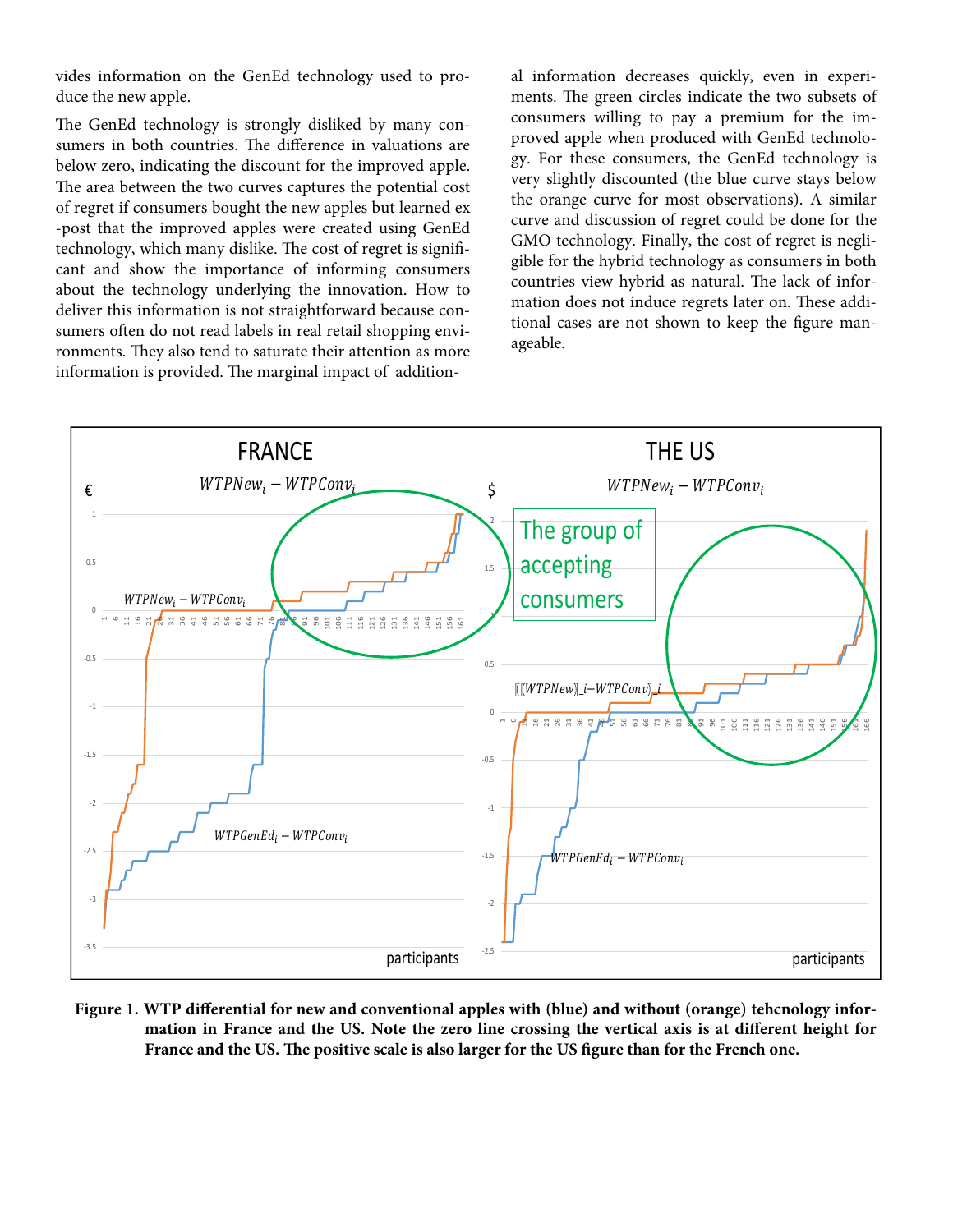vides information on the GenEd technology used to produce the new apple.

The GenEd technology is strongly disliked by many consumers in both countries. The difference in valuations are below zero, indicating the discount for the improved apple. The area between the two curves captures the potential cost of regret if consumers bought the new apples but learned ex -post that the improved apples were created using GenEd technology, which many dislike. The cost of regret is significant and show the importance of informing consumers about the technology underlying the innovation. How to deliver this information is not straightforward because consumers often do not read labels in real retail shopping environments. They also tend to saturate their attention as more information is provided. The marginal impact of additional information decreases quickly, even in experiments. The green circles indicate the two subsets of consumers willing to pay a premium for the improved apple when produced with GenEd technology. For these consumers, the GenEd technology is very slightly discounted (the blue curve stays below the orange curve for most observations). A similar curve and discussion of regret could be done for the GMO technology. Finally, the cost of regret is negligible for the hybrid technology as consumers in both countries view hybrid as natural. The lack of information does not induce regrets later on. These additional cases are not shown to keep the figure manageable.



**Figure 1. WTP differential for new and conventional apples with (blue) and without (orange) tehcnology information in France and the US. Note the zero line crossing the vertical axis is at different height for France and the US. The positive scale is also larger for the US figure than for the French one.**